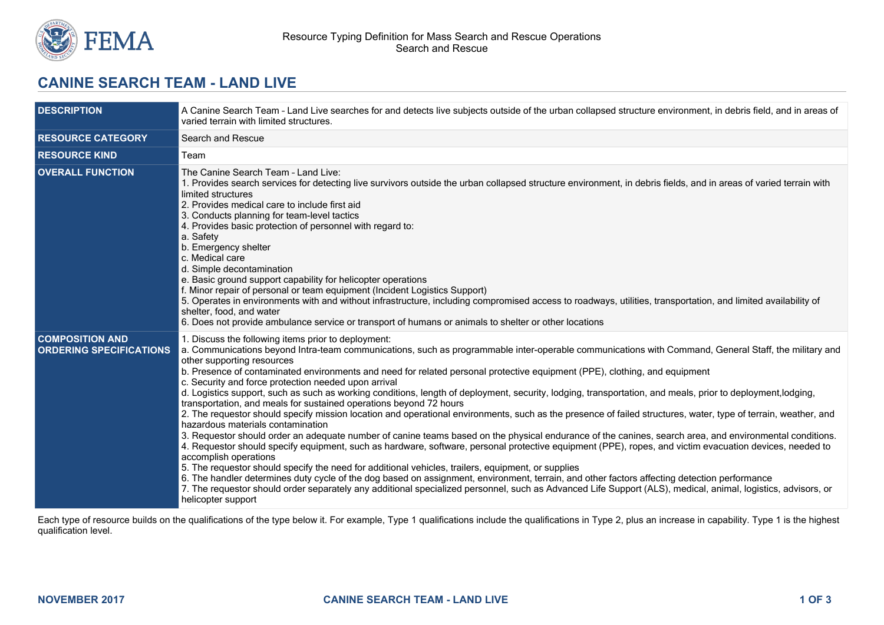

## **CANINE SEARCH TEAM - LAND LIVE**

| <b>DESCRIPTION</b>                                       | A Canine Search Team - Land Live searches for and detects live subjects outside of the urban collapsed structure environment, in debris field, and in areas of<br>varied terrain with limited structures.                                                                                                                                                                                                                                                                                                                                                                                                                                                                                                                                                                                                                                                                                                                                                                                                                                                                                                                                                                                                                                                                                                                                                                                                                                                                                                                                                                                                                                                              |  |
|----------------------------------------------------------|------------------------------------------------------------------------------------------------------------------------------------------------------------------------------------------------------------------------------------------------------------------------------------------------------------------------------------------------------------------------------------------------------------------------------------------------------------------------------------------------------------------------------------------------------------------------------------------------------------------------------------------------------------------------------------------------------------------------------------------------------------------------------------------------------------------------------------------------------------------------------------------------------------------------------------------------------------------------------------------------------------------------------------------------------------------------------------------------------------------------------------------------------------------------------------------------------------------------------------------------------------------------------------------------------------------------------------------------------------------------------------------------------------------------------------------------------------------------------------------------------------------------------------------------------------------------------------------------------------------------------------------------------------------------|--|
| <b>RESOURCE CATEGORY</b>                                 | Search and Rescue                                                                                                                                                                                                                                                                                                                                                                                                                                                                                                                                                                                                                                                                                                                                                                                                                                                                                                                                                                                                                                                                                                                                                                                                                                                                                                                                                                                                                                                                                                                                                                                                                                                      |  |
| <b>RESOURCE KIND</b>                                     | Team                                                                                                                                                                                                                                                                                                                                                                                                                                                                                                                                                                                                                                                                                                                                                                                                                                                                                                                                                                                                                                                                                                                                                                                                                                                                                                                                                                                                                                                                                                                                                                                                                                                                   |  |
| <b>OVERALL FUNCTION</b>                                  | The Canine Search Team - Land Live:<br>1. Provides search services for detecting live survivors outside the urban collapsed structure environment, in debris fields, and in areas of varied terrain with<br>limited structures<br>2. Provides medical care to include first aid<br>3. Conducts planning for team-level tactics<br>4. Provides basic protection of personnel with regard to:<br>a. Safety<br>b. Emergency shelter<br>c. Medical care<br>d. Simple decontamination<br>e. Basic ground support capability for helicopter operations<br>f. Minor repair of personal or team equipment (Incident Logistics Support)<br>5. Operates in environments with and without infrastructure, including compromised access to roadways, utilities, transportation, and limited availability of<br>shelter, food, and water<br>6. Does not provide ambulance service or transport of humans or animals to shelter or other locations                                                                                                                                                                                                                                                                                                                                                                                                                                                                                                                                                                                                                                                                                                                                   |  |
| <b>COMPOSITION AND</b><br><b>ORDERING SPECIFICATIONS</b> | 1. Discuss the following items prior to deployment:<br>a. Communications beyond Intra-team communications, such as programmable inter-operable communications with Command, General Staff, the military and<br>other supporting resources<br>b. Presence of contaminated environments and need for related personal protective equipment (PPE), clothing, and equipment<br>c. Security and force protection needed upon arrival<br>d. Logistics support, such as such as working conditions, length of deployment, security, lodging, transportation, and meals, prior to deployment, lodging,<br>transportation, and meals for sustained operations beyond 72 hours<br>2. The requestor should specify mission location and operational environments, such as the presence of failed structures, water, type of terrain, weather, and<br>hazardous materials contamination<br>3. Requestor should order an adequate number of canine teams based on the physical endurance of the canines, search area, and environmental conditions.<br>4. Requestor should specify equipment, such as hardware, software, personal protective equipment (PPE), ropes, and victim evacuation devices, needed to<br>accomplish operations<br>5. The requestor should specify the need for additional vehicles, trailers, equipment, or supplies<br>6. The handler determines duty cycle of the dog based on assignment, environment, terrain, and other factors affecting detection performance<br>7. The requestor should order separately any additional specialized personnel, such as Advanced Life Support (ALS), medical, animal, logistics, advisors, or<br>helicopter support |  |

Each type of resource builds on the qualifications of the type below it. For example, Type 1 qualifications include the qualifications in Type 2, plus an increase in capability. Type 1 is the highest qualification level.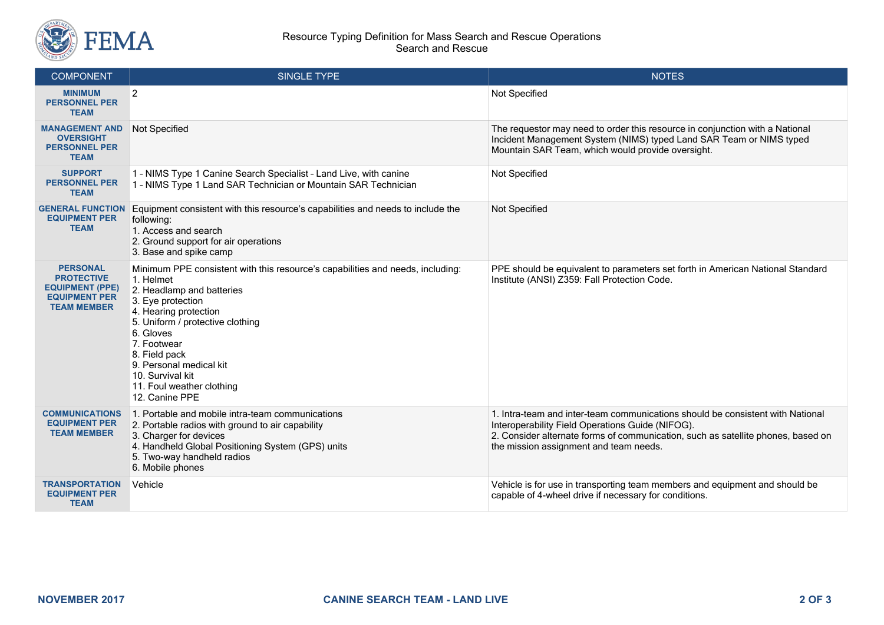

## Resource Typing Definition for Mass Search and Rescue Operations Search and Rescue

| <b>COMPONENT</b>                                                                                             | <b>SINGLE TYPE</b>                                                                                                                                                                                                                                                                                                                                    | <b>NOTES</b>                                                                                                                                                                                                                                                     |
|--------------------------------------------------------------------------------------------------------------|-------------------------------------------------------------------------------------------------------------------------------------------------------------------------------------------------------------------------------------------------------------------------------------------------------------------------------------------------------|------------------------------------------------------------------------------------------------------------------------------------------------------------------------------------------------------------------------------------------------------------------|
| <b>MINIMUM</b><br><b>PERSONNEL PER</b><br><b>TEAM</b>                                                        | $\overline{2}$                                                                                                                                                                                                                                                                                                                                        | Not Specified                                                                                                                                                                                                                                                    |
| <b>MANAGEMENT AND</b><br><b>OVERSIGHT</b><br><b>PERSONNEL PER</b><br><b>TEAM</b>                             | Not Specified                                                                                                                                                                                                                                                                                                                                         | The requestor may need to order this resource in conjunction with a National<br>Incident Management System (NIMS) typed Land SAR Team or NIMS typed<br>Mountain SAR Team, which would provide oversight.                                                         |
| <b>SUPPORT</b><br><b>PERSONNEL PER</b><br><b>TEAM</b>                                                        | 1 - NIMS Type 1 Canine Search Specialist - Land Live, with canine<br>1 - NIMS Type 1 Land SAR Technician or Mountain SAR Technician                                                                                                                                                                                                                   | Not Specified                                                                                                                                                                                                                                                    |
| <b>GENERAL FUNCTION</b><br><b>EQUIPMENT PER</b><br><b>TEAM</b>                                               | Equipment consistent with this resource's capabilities and needs to include the<br>following:<br>1. Access and search<br>2. Ground support for air operations<br>3. Base and spike camp                                                                                                                                                               | Not Specified                                                                                                                                                                                                                                                    |
| <b>PERSONAL</b><br><b>PROTECTIVE</b><br><b>EQUIPMENT (PPE)</b><br><b>EQUIPMENT PER</b><br><b>TEAM MEMBER</b> | Minimum PPE consistent with this resource's capabilities and needs, including:<br>1. Helmet<br>2. Headlamp and batteries<br>3. Eye protection<br>4. Hearing protection<br>5. Uniform / protective clothing<br>6. Gloves<br>7. Footwear<br>8. Field pack<br>9. Personal medical kit<br>10. Survival kit<br>11. Foul weather clothing<br>12. Canine PPE | PPE should be equivalent to parameters set forth in American National Standard<br>Institute (ANSI) Z359: Fall Protection Code.                                                                                                                                   |
| <b>COMMUNICATIONS</b><br><b>EQUIPMENT PER</b><br><b>TEAM MEMBER</b>                                          | 1. Portable and mobile intra-team communications<br>2. Portable radios with ground to air capability<br>3. Charger for devices<br>4. Handheld Global Positioning System (GPS) units<br>5. Two-way handheld radios<br>6. Mobile phones                                                                                                                 | 1. Intra-team and inter-team communications should be consistent with National<br>Interoperability Field Operations Guide (NIFOG).<br>2. Consider alternate forms of communication, such as satellite phones, based on<br>the mission assignment and team needs. |
| <b>TRANSPORTATION</b><br><b>EQUIPMENT PER</b><br><b>TEAM</b>                                                 | Vehicle                                                                                                                                                                                                                                                                                                                                               | Vehicle is for use in transporting team members and equipment and should be<br>capable of 4-wheel drive if necessary for conditions.                                                                                                                             |